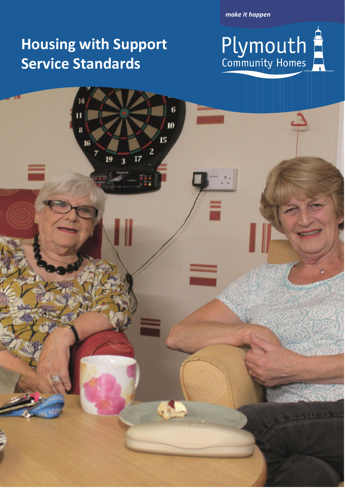*make it happen*

# **Housing with Support Service Standards**

 $\overline{\mathbf{z}}$ 

 $\overline{\mathbf{r}}$ 

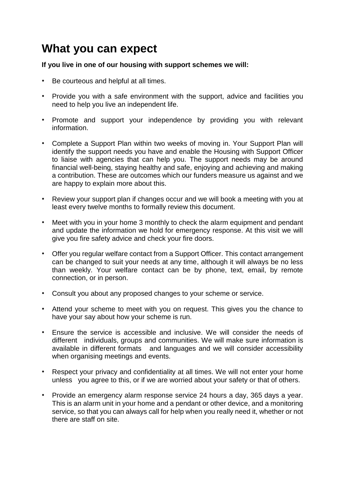## **What you can expect**

#### **If you live in one of our housing with support schemes we will:**

- Be courteous and helpful at all times.
- Provide you with a safe environment with the support, advice and facilities you need to help you live an independent life.
- Promote and support your independence by providing you with relevant information.
- Complete a Support Plan within two weeks of moving in. Your Support Plan will identify the support needs you have and enable the Housing with Support Officer to liaise with agencies that can help you. The support needs may be around financial well-being, staying healthy and safe, enjoying and achieving and making a contribution. These are outcomes which our funders measure us against and we are happy to explain more about this.
- Review your support plan if changes occur and we will book a meeting with you at least every twelve months to formally review this document.
- Meet with you in your home 3 monthly to check the alarm equipment and pendant and update the information we hold for emergency response. At this visit we will give you fire safety advice and check your fire doors.
- Offer you regular welfare contact from a Support Officer. This contact arrangement can be changed to suit your needs at any time, although it will always be no less than weekly. Your welfare contact can be by phone, text, email, by remote connection, or in person.
- Consult you about any proposed changes to your scheme or service.
- Attend your scheme to meet with you on request. This gives you the chance to have your say about how your scheme is run.
- Ensure the service is accessible and inclusive. We will consider the needs of different individuals, groups and communities. We will make sure information is available in different formats and languages and we will consider accessibility when organising meetings and events.
- Respect your privacy and confidentiality at all times. We will not enter your home unless you agree to this, or if we are worried about your safety or that of others.
- Provide an emergency alarm response service 24 hours a day, 365 days a year. This is an alarm unit in your home and a pendant or other device, and a monitoring service, so that you can always call for help when you really need it, whether or not there are staff on site.